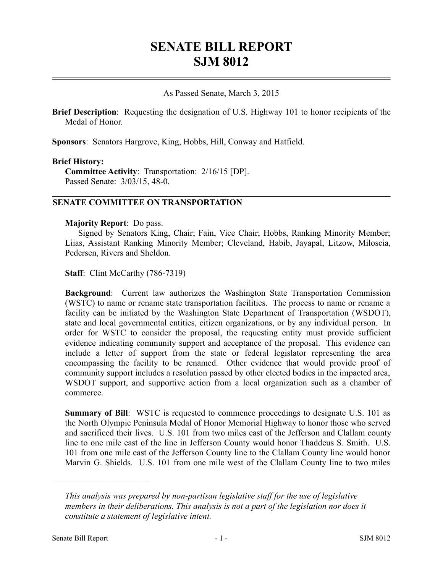# **SENATE BILL REPORT SJM 8012**

#### As Passed Senate, March 3, 2015

**Brief Description**: Requesting the designation of U.S. Highway 101 to honor recipients of the Medal of Honor.

**Sponsors**: Senators Hargrove, King, Hobbs, Hill, Conway and Hatfield.

#### **Brief History:**

**Committee Activity**: Transportation: 2/16/15 [DP]. Passed Senate: 3/03/15, 48-0.

### **SENATE COMMITTEE ON TRANSPORTATION**

### **Majority Report**: Do pass.

Signed by Senators King, Chair; Fain, Vice Chair; Hobbs, Ranking Minority Member; Liias, Assistant Ranking Minority Member; Cleveland, Habib, Jayapal, Litzow, Miloscia, Pedersen, Rivers and Sheldon.

**Staff**: Clint McCarthy (786-7319)

**Background**: Current law authorizes the Washington State Transportation Commission (WSTC) to name or rename state transportation facilities. The process to name or rename a facility can be initiated by the Washington State Department of Transportation (WSDOT), state and local governmental entities, citizen organizations, or by any individual person. In order for WSTC to consider the proposal, the requesting entity must provide sufficient evidence indicating community support and acceptance of the proposal. This evidence can include a letter of support from the state or federal legislator representing the area encompassing the facility to be renamed. Other evidence that would provide proof of community support includes a resolution passed by other elected bodies in the impacted area, WSDOT support, and supportive action from a local organization such as a chamber of commerce.

**Summary of Bill**: WSTC is requested to commence proceedings to designate U.S. 101 as the North Olympic Peninsula Medal of Honor Memorial Highway to honor those who served and sacrificed their lives. U.S. 101 from two miles east of the Jefferson and Clallam county line to one mile east of the line in Jefferson County would honor Thaddeus S. Smith. U.S. 101 from one mile east of the Jefferson County line to the Clallam County line would honor Marvin G. Shields. U.S. 101 from one mile west of the Clallam County line to two miles

––––––––––––––––––––––

*This analysis was prepared by non-partisan legislative staff for the use of legislative members in their deliberations. This analysis is not a part of the legislation nor does it constitute a statement of legislative intent.*